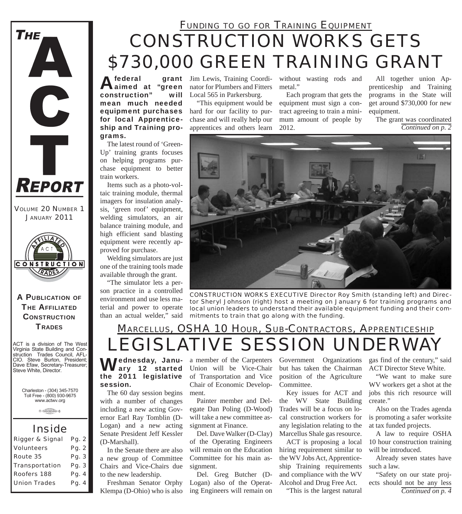## *CONSTRUCTION WORKS GETS \$730,000 GREEN TRAINING GRANT FUNDING TO GO FOR TRAINING EQUIPMENT*

Afederal grant<br>Aaimed at "green construction" will mean much needed equipment purchases for local Apprenticeship and Training programs.

The latest round of 'Green-Up' training grants focuses on helping programs purchase equipment to better train workers.

Items such as a photo-voltaic training module, thermal imagers for insulation analysis, 'green roof' equipment, welding simulators, an air balance training module, and high efficient sand blasting equipment were recently approved for purchase.

Welding simulators are just one of the training tools made available through the grant.

"The simulator lets a person practice in a controlled environment and use less material and power to operate than an actual welder," said

grant Jim Lewis, Training Coordinator for Plumbers and Fitters Local 565 in Parkersburg.

> "This equipment would be hard for our facility to purchase and will really help our apprentices and others learn

without wasting rods and metal.'

Each program that gets the equipment must sign a contract agreeing to train a minimum amount of people by 2012.

All together union Apprenticeship and Training programs in the State will get around \$730,000 for new equipment.

*Continued on p. 2* The grant was coordinated



*CONSTRUCTION WORKS EXECUTIVE Director Roy Smith (standing left) and Director Sheryl Johnson (right) host a meeting on January 6 for training programs and local union leaders to understand their available equipment funding and their commitments to train that go along with the funding.*

### *LEGISLATIVE SESSION UNDERWAY MARCELLUS, OSHA 10 HOUR, SUB-CONTRACTORS, APPRENTICESHIP*

**M**ednesday, January 12 started the 2011 legislative session.

The 60 day session begins with a number of changes including a new acting Governor Earl Ray Tomblin (D-Logan) and a new acting Senate President Jeff Kessler (D-Marshall).

In the Senate there are also a new group of Committee Chairs and Vice-Chairs due to the new leadership.

Freshman Senator Orphy Klempa (D-Ohio) who is also Union will be Vice-Chair of Transportation and Vice Chair of Economic Development.

Painter member and Delegate Dan Poling (D-Wood) will take a new committee assignment at Finance.

Del. Dave Walker (D-Clay) of the Operating Engineers will remain on the Education Committee for his main assignment.

Del. Greg Butcher (D-Logan) also of the Operating Engineers will remain on

a member of the Carpenters Government Organizations but has taken the Chairman position of the Agriculture Committee.

> Key issues for ACT and the WV State Building Trades will be a focus on local construction workers for any legislation relating to the Marcellus Shale gas resource.

ACT is proposing a local hiring requirement similar to the WV Jobs Act, Apprenticeship Training requirements and compliance with the WV Alcohol and Drug Free Act.

"This is the largest natural

gas find of the century," said ACT Director Steve White.

"We want to make sure WV workers get a shot at the jobs this rich resource will create."

Also on the Trades agenda is promoting a safer worksite at tax funded projects.

A law to require OSHA 10 hour construction training will be introduced.

Already seven states have such a law.

*Continued on p. 4* "Safety on our state projects should not be any less



*VOLUME 20 NUMBER 1 JANUARY 2011*

**REPORT** 

**THE** 

A

C

Ť

#### A PUBLICATION OF **THE AFFILIATED CONSTRUCTION TRADES**

ACT is a division of The West Virginia State Building and Construction Trades Council, AFL-CIO. Steve Burton, President; Dave Efaw, Secretary-Treasurer; Steve White, Director.

> Charleston - (304) 345-7570 Toll Free - (800) 930-9675 www.actwv.org



### *Inside*

| <b>Rigger &amp; Signal</b> | Pg. 2 |
|----------------------------|-------|
| <b>Volunteers</b>          | Pg. 2 |
| Route 35                   | Pg. 3 |
| <b>Transportation</b>      | Pg. 3 |
| Roofers 188                | Pg. 4 |
| <b>Union Trades</b>        | Pg. 4 |
|                            |       |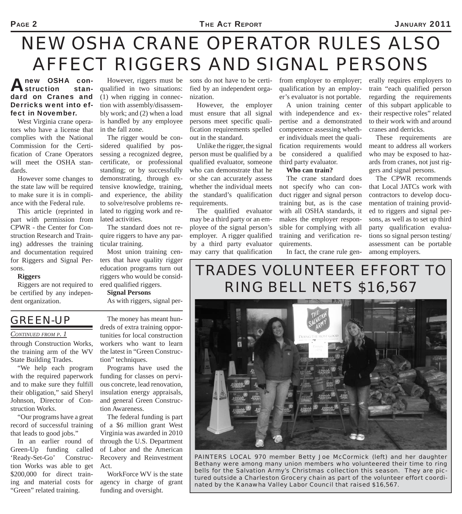# *NEW OSHA CRANE OPERATOR RULES ALSO AFFECT RIGGERS AND SIGNAL PERSONS*

#### new OSHA con-<br>
struction stan $s$ truction dard on Cranes and Derricks went into effect in November.

West Virginia crane operators who have a license that complies with the National Commission for the Certification of Crane Operators will meet the OSHA standards.

However some changes to the state law will be required to make sure it is in compliance with the Federal rule.

This article (reprinted in part with permission from CPWR - the Center for Construction Research and Training) addresses the training and documentation required for Riggers and Signal Persons.

#### **Riggers**

Riggers are not required to be certified by any independent organization.

However, riggers must be qualified in two situations: (1) when rigging in connection with assembly/disassembly work; and (2) when a load is handled by any employee in the fall zone.

The rigger would be considered qualified by possessing a recognized degree, certificate, or professional standing; or by successfully demonstrating, through extensive knowledge, training, and experience, the ability to solve/resolve problems related to rigging work and related activities.

The standard does not require riggers to have any particular training.

Most union training centers that have quality rigger education programs turn out riggers who would be considered qualified riggers.

**Signal Persons**

As with riggers, signal per-

#### sons do not have to be certified by an independent organization. However, the employer

must ensure that all signal persons meet specific qualification requirements spelled out in the standard.

Unlike the rigger, the signal person must be qualified by a qualified evaluator, someone who can demonstrate that he or she can accurately assess whether the individual meets the standard's qualification requirements.

The qualified evaluator may be a third party or an employee of the signal person's employer. A rigger qualified by a third party evaluator may carry that qualification

from employer to employer; qualification by an employer's evaluator is not portable.

A union training center with independence and expertise and a demonstrated competence assessing whether individuals meet the qualification requirements would be considered a qualified third party evaluator.

#### **Who can train?**

The crane standard does not specify who can conduct rigger and signal person training but, as is the case with all OSHA standards, it makes the employer responsible for complying with all training and verification requirements.

In fact, the crane rule gen-

erally requires employers to train "each qualified person regarding the requirements of this subpart applicable to their respective roles" related to their work with and around cranes and derricks.

These requirements are meant to address all workers who may be exposed to hazards from cranes, not just riggers and signal persons.

The CPWR recommends that Local JATCs work with contractors to develop documentation of training provided to riggers and signal persons, as well as to set up third party qualification evaluations so signal person testing/ assessment can be portable among employers.

### *TRADES VOLUNTEER EFFORT TO RING BELL NETS \$16,567*



#### *CONTINUED FROM P. 1*

through Construction Works, the training arm of the WV State Building Trades.

"We help each program with the required paperwork and to make sure they fulfill their obligation," said Sheryl Johnson, Director of Construction Works.

"Our programs have a great record of successful training that leads to good jobs."

In an earlier round of Green-Up funding called 'Ready-Set-Go' Construction Works was able to get \$200,000 for direct training and material costs for "Green" related training.

The money has meant hundreds of extra training opportunities for local construction workers who want to learn the latest in "Green Construction" techniques.

Programs have used the funding for classes on pervious concrete, lead renovation, insulation energy appraisals, and general Green Construction Awareness.

The federal funding is part of a \$6 million grant West Virginia was awarded in 2010 through the U.S. Department of Labor and the American Recovery and Reinvestment Act.

WorkForce WV is the state agency in charge of grant funding and oversight.



*PAINTERS LOCAL 970 member Betty Joe McCormick (left) and her daughter Bethany were among many union members who volunteered their time to ring bells for the Salvation Army's Christmas collection this season. They are pictured outside a Charleston Grocery chain as part of the volunteer effort coordinated by the Kanawha Valley Labor Council that raised \$16,567.*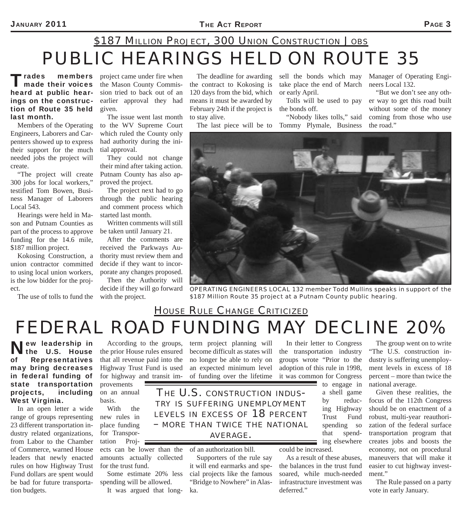## *PUBLIC HEARINGS HELD ON ROUTE 35 \$187 MILLION PROJECT, 300 UNION CONSTRUCTION JOBS*

Trades members<br>
made their voices heard at public hearings on the construction of Route 35 held last month.

Members of the Operating Engineers, Laborers and Carpenters showed up to express their support for the much needed jobs the project will create.

"The project will create 300 jobs for local workers," testified Tom Bowen, Business Manager of Laborers Local 543.

Hearings were held in Mason and Putnam Counties as part of the process to approve funding for the 14.6 mile, \$187 million project.

Kokosing Construction, a union contractor committed to using local union workers, is the low bidder for the project.

The use of tolls to fund the with the project.

project came under fire when the Mason County Commission tried to back out of an earlier approval they had given.

The issue went last month to the WV Supreme Court which ruled the County only had authority during the initial approval.

They could not change their mind after taking action. Putnam County has also approved the project.

The project next had to go through the public hearing and comment process which started last month.

Written comments will still be taken until January 21.

After the comments are received the Parkways Authority must review them and decide if they want to incorporate any changes proposed. Then the Authority will

decide if they will go forward

The deadline for awarding the contract to Kokosing is 120 days from the bid, which means it must be awarded by February 24th if the project is to stay alive.

sell the bonds which may take place the end of March or early April.

Tolls will be used to pay the bonds off.

The last piece will be to Tommy Plymale, Business "Nobody likes tolls," said Manager of Operating Engineers Local 132.

"But we don't see any other way to get this road built without some of the money coming from those who use the road."

*OPERATING ENGINEERS LOCAL 132 member Todd Mullins speaks in support of the \$187 Million Route 35 project at a Putnam County public hearing.*

### *FEDERAL ROAD FUNDING MAY DECLINE 20% HOUSE RULE CHANGE CRITICIZED*

New leadership in the U.S. House of Representatives may bring decreases in federal funding of state transportation projects, including West Virginia.

In an open letter a wide range of groups representing 23 different transportation industry related organizations, from Labor to the Chamber of Commerce, warned House leaders that newly enacted rules on how Highway Trust Fund dollars are spent would be bad for future transportation budgets.

According to the groups, the prior House rules ensured that all revenue paid into the Highway Trust Fund is used for highway and transit improvements

on an annual basis.

With the new rules in place funding for Transportation Proj-

ects can be lower than the amounts actually collected for the trust fund.

Some estimate 20% less spending will be allowed.

It was argued that long-

term project planning will become difficult as states will no longer be able to rely on an expected minimum level of funding over the lifetime

*THE U.S. CONSTRUCTION INDUS- TRY IS SUFFERING UNEMPLOYMENT LEVELS IN EXCESS OF 18 PERCENT – MORE THAN TWICE THE NATIONAL*

#### *AVERAGE.*

of an authorization bill.

Supporters of the rule say it will end earmarks and special projects like the famous "Bridge to Nowhere" in Alaska.

In their letter to Congress the transportation industry groups wrote "Prior to the adoption of this rule in 1998, it was common for Congress to engage in

a shell game by reducing Highway Trust Fund spending so that spending elsewhere

could be increased.

As a result of these abuses, the balances in the trust fund soared, while much-needed infrastructure investment was deferred."

The group went on to write "The U.S. construction industry is suffering unemployment levels in excess of 18 percent – more than twice the national average.

Given these realities, the focus of the 112th Congress should be on enactment of a robust, multi-year reauthorization of the federal surface transportation program that creates jobs and boosts the economy, not on procedural maneuvers that will make it easier to cut highway investment."

The Rule passed on a party vote in early January.

 $\sim$